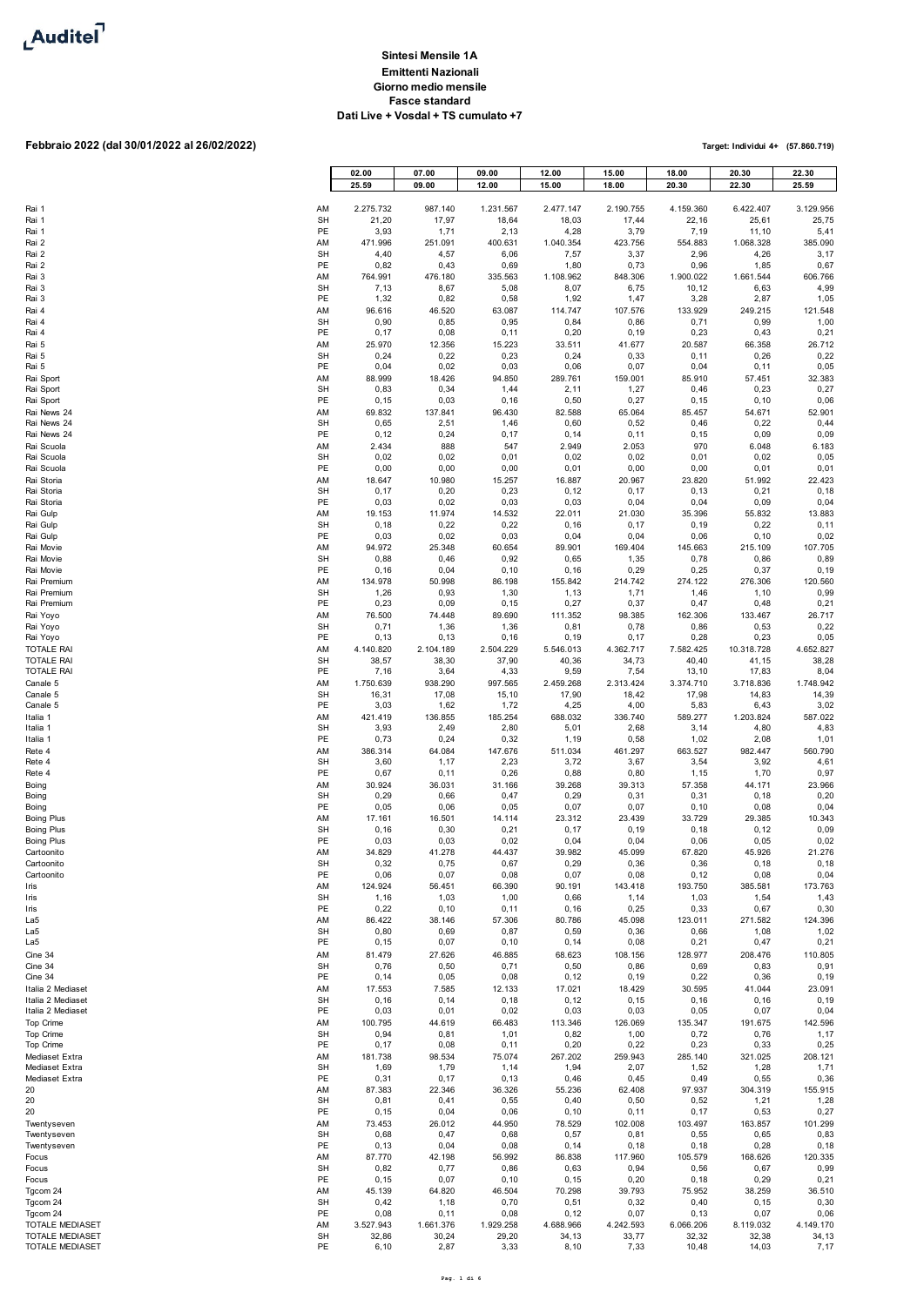

## **Febbraio 2022 (dal 30/01/2022 al 26/02/2022)**

|                          |                 | 02.00<br>25.59     | 07.00<br>09.00     | 09.00<br>12.00     | 12.00<br>15.00     | 15.00<br>18.00     | 18.00<br>20.30     | 20.30<br>22.30     | 22.30<br>25.59    |
|--------------------------|-----------------|--------------------|--------------------|--------------------|--------------------|--------------------|--------------------|--------------------|-------------------|
| Rai 1                    | AM              | 2.275.732          | 987.140            | 1.231.567          | 2.477.147          | 2.190.755          | 4.159.360          | 6.422.407          | 3.129.956         |
| Rai 1                    | <b>SH</b>       | 21,20              | 17,97              | 18,64              | 18,03              | 17,44              | 22,16              | 25,61              | 25,75             |
| Rai 1                    | PE              | 3,93               | 1,71               | 2,13               | 4,28               | 3,79               | 7,19               | 11,10              | 5,41              |
| Rai 2                    | AM              | 471.996            | 251.091            | 400.631            | 1.040.354          | 423.756            | 554.883            | 1.068.328          | 385.090           |
| Rai 2                    | <b>SH</b>       | 4,40               | 4,57               | 6,06               | 7,57               | 3,37               | 2,96               | 4,26               | 3,17              |
| Rai 2                    | PE              | 0,82               | 0,43               | 0,69               | 1,80               | 0,73               | 0,96               | 1,85               | 0,67              |
| Rai 3                    | AM              | 764.991            | 476.180            | 335.563            | 1.108.962          | 848.306            | 1.900.022          | 1.661.544          | 606.766           |
| Rai 3                    | <b>SH</b>       | 7,13               | 8,67               | 5,08               | 8,07               | 6,75               | 10,12              | 6,63               | 4,99              |
| Rai 3                    | PE              | 1,32               | 0,82               | 0,58               | 1,92               | 1,47               | 3,28               | 2,87               | 1,05              |
| Rai 4                    | AM              | 96.616             | 46.520             | 63.087             | 114.747            | 107.576            | 133.929            | 249.215            | 121.548           |
| Rai 4                    | <b>SH</b>       | 0,90               | 0,85               | 0,95               | 0,84               | 0,86               | 0,71               | 0,99               | 1,00              |
| Rai 4                    | PE              | 0,17               | 0,08               | 0, 11              | 0,20               | 0, 19              | 0,23               | 0,43               | 0,21              |
| Rai 5                    | AM              | 25.970             | 12.356             | 15.223             | 33.511             | 41.677             | 20.587             | 66.358             | 26.712            |
| Rai 5                    | <b>SH</b>       | 0,24               | 0,22               | 0,23               | 0,24               | 0,33               | 0, 11              | 0,26               | 0,22              |
| Rai 5                    | PE              | 0,04               | 0,02               | 0,03               | 0,06               | 0,07               | 0,04               | 0, 11              | 0,05              |
| Rai Sport                | AM              | 88.999             | 18.426             | 94.850             | 289.761            | 159.001            | 85.910             | 57.451             | 32.383            |
| Rai Sport                | <b>SH</b>       | 0,83               | 0,34               | 1,44               | 2,11               | 1,27               | 0,46               | 0,23               | 0,27              |
| Rai Sport                | PE              | 0, 15              | 0,03               | 0, 16              | 0,50               | 0,27               | 0, 15              | 0, 10              | 0,06              |
| Rai News 24              | AM              | 69.832             | 137.841            | 96.430             | 82.588             | 65.064             | 85.457             | 54.671             | 52.901            |
| Rai News 24              | <b>SH</b>       | 0,65               | 2,51               | 1,46               | 0,60               | 0,52               | 0,46               | 0,22               | 0,44              |
| Rai News 24              | PE              | 0, 12              | 0,24               | 0,17               | 0, 14              | 0,11               | 0, 15              | 0,09               | 0,09              |
| Rai Scuola               | AM              | 2.434              | 888                | 547                | 2.949              | 2.053              | 970                | 6.048              | 6.183             |
| Rai Scuola               | <b>SH</b>       | 0,02               | 0,02               | 0,01               | 0,02               | 0,02               | 0,01               | 0,02               | 0,05              |
| Rai Scuola               | PE              | 0,00               | 0,00               | 0,00               | 0,01               | 0,00               | 0,00               | 0,01               | 0,01              |
| Rai Storia               | AM              | 18.647             | 10.980             | 15.257             | 16.887             | 20.967             | 23.820             | 51.992             | 22.423            |
| Rai Storia               | <b>SH</b>       | 0,17               | 0,20               | 0,23               | 0, 12              | 0, 17              | 0, 13              | 0,21               | 0, 18             |
| Rai Storia               | PE              | 0,03               | 0,02               | 0,03               | 0,03               | 0,04               | 0,04               | 0,09               | 0,04              |
| Rai Gulp<br>Rai Gulp     | AM<br><b>SH</b> | 19.153<br>0, 18    | 11.974             | 14.532             | 22.011             | 21.030<br>0, 17    | 35.396<br>0, 19    | 55.832             | 13.883            |
| Rai Gulp                 | PE              | 0,03               | 0,22<br>0,02       | 0,22<br>0,03       | 0, 16<br>0,04      | 0,04               | 0,06               | 0,22<br>0, 10      | 0, 11<br>0,02     |
| Rai Movie                | AM              | 94.972             | 25.348             | 60.654             | 89.901             | 169.404            | 145.663            | 215.109            | 107.705           |
| Rai Movie                | <b>SH</b>       | 0,88               | 0,46               | 0,92               | 0,65               | 1,35               | 0,78               | 0,86               | 0,89              |
| Rai Movie                | PE              | 0, 16              | 0,04               | 0, 10              | 0, 16              | 0,29               | 0,25               | 0,37               | 0, 19             |
| Rai Premium              | AM              | 134.978            | 50.998             | 86.198             | 155.842            | 214.742            | 274.122            | 276.306            | 120.560           |
| Rai Premium              | <b>SH</b>       | 1,26               | 0,93               | 1,30               | 1,13               | 1,71               | 1,46               | 1,10               | 0,99              |
| Rai Premium              | PE              | 0,23               | 0,09               | 0, 15              | 0,27               | 0,37               | 0,47               | 0,48               | 0,21              |
| Rai Yoyo                 | AM              | 76.500             | 74.448             | 89.690             | 111.352            | 98.385             | 162.306            | 133.467            | 26.717            |
| Rai Yoyo                 | <b>SH</b>       | 0,71               | 1,36               | 1,36               | 0,81               | 0,78               | 0,86               | 0,53               | 0,22              |
| Rai Yoyo                 | PE              | 0, 13              | 0, 13              | 0, 16<br>2.504.229 | 0, 19              | 0,17               | 0,28               | 0,23<br>10.318.728 | 0,05<br>4.652.827 |
| TOTALE RAI<br>TOTALE RAI | AM<br><b>SH</b> | 4.140.820<br>38,57 | 2.104.189<br>38,30 | 37,90              | 5.546.013<br>40,36 | 4.362.717<br>34,73 | 7.582.425<br>40,40 | 41,15              | 38,28             |
| TOTALE RAI               | PE              | 7,16               | 3,64               | 4,33               | 9,59               | 7,54               | 13,10              | 17,83              | 8,04              |
| Canale 5                 | AM              | 1.750.639          | 938.290            | 997.565            | 2.459.268          | 2.313.424          | 3.374.710          | 3.718.836          | 1.748.942         |
| Canale 5                 | <b>SH</b>       | 16,31              | 17,08              | 15,10              | 17,90              | 18,42              | 17,98              | 14,83              | 14,39             |
| Canale 5                 | PE              | 3,03               | 1,62               | 1,72               | 4,25               | 4,00               | 5,83               | 6,43               | 3,02              |
| Italia 1                 | AM              | 421.419            | 136.855            | 185.254            | 688.032            | 336.740            | 589.277            | 1.203.824          | 587.022           |
| Italia 1                 | <b>SH</b>       | 3,93               | 2,49               | 2,80               | 5,01               | 2,68               | 3, 14              | 4,80               | 4,83              |
| Italia 1                 | PE              | 0,73               | 0,24               | 0,32               | 1,19               | 0,58               | 1,02               | 2,08               | 1,01              |
| Rete 4                   | AM              | 386.314            | 64.084             | 147.676            | 511.034            | 461.297            | 663.527            | 982.447            | 560.790           |
| Rete 4                   | <b>SH</b>       | 3,60               | 1,17               | 2,23               | 3,72               | 3,67               | 3,54               | 3,92               | 4,61              |
| Rete 4                   | PE              | 0,67               | 0, 11              | 0,26               | 0,88               | 0,80               | 1,15               | 1,70               | 0,97              |
| Boing                    | AM              | 30.924             | 36.031             | 31.166             | 39.268             | 39.313             | 57.358             | 44.171             | 23.966            |
| Boing                    | <b>SH</b>       | 0,29               | 0,66               | 0,47               | 0,29               | 0,31               | 0,31               | 0, 18              | 0,20              |
| Boing                    | PE              | 0,05               | 0,06               | 0,05               | 0,07               | 0,07               | 0, 10              | 0,08               | 0,04              |
| <b>Boing Plus</b>        | AM              | 17.161             | 16.501             | 14.114             | 23.312             | 23.439             | 33.729             | 29.385             | 10.343            |
| <b>Boing Plus</b>        | <b>SH</b>       | 0, 16              | 0,30               | 0,21               | 0, 17              | 0, 19              | 0, 18              | 0, 12              | 0,09              |
| <b>Boing Plus</b>        | PE              | 0,03               | 0,03               | 0,02               | 0,04               | 0,04               | 0,06               | 0,05               | 0,02              |
| Cartoonito               | AM              | 34.829             | 41.278             | 44.437             | 39.982             | 45.099             | 67.820             | 45.926             | 21.276            |
| Cartoonito               | <b>SH</b>       | 0,32               | 0,75               | 0,67               | 0,29               | 0,36               | 0,36               | 0, 18              | 0, 18             |
| Cartoonito               | PE              | 0,06               | 0,07               | 0,08               | 0,07               | 0,08               | 0, 12              | 0,08               | 0,04              |
| Iris                     | AM              | 124.924            | 56.451             | 66.390             | 90.191             | 143.418            | 193.750            | 385.581            | 173.763           |
| Iris                     | <b>SH</b>       | 1,16               | 1,03               | 1,00               | 0,66               | 1,14               | 1,03               | 1,54               | 1,43              |
| Iris                     | PE              | 0,22               | 0, 10              | 0, 11              | 0, 16              | 0,25               | 0,33               | 0,67               | 0,30              |
| La5                      | AM              | 86.422             | 38.146             | 57.306             | 80.786             | 45.098             | 123.011            | 271.582            | 124.396           |
| La5                      | <b>SH</b>       | 0,80               | 0,69               | 0,87               | 0,59               | 0,36               | 0,66               | 1,08               | 1,02              |
| La5                      | PE              | 0, 15              | 0,07               | 0, 10              | 0, 14              | 0,08               | 0,21               | 0,47               | 0,21              |
| Cine 34                  | AM              | 81.479             | 27.626             | 46.885             | 68.623             | 108.156            | 128.977            | 208.476            | 110.805           |
| Cine 34                  | <b>SH</b>       | 0,76               | 0,50               | 0,71               | 0,50               | 0,86               | 0,69               | 0,83               | 0,91              |
| Cine 34                  | PE              | 0, 14              | 0,05               | 0,08               | 0, 12              | 0, 19              | 0,22               | 0,36               | 0, 19             |
| Italia 2 Mediaset        | AM              | 17.553             | 7.585              | 12.133             | 17.021             | 18.429             | 30.595             | 41.044             | 23.091            |
| Italia 2 Mediaset        | <b>SH</b>       | 0, 16              | 0, 14              | 0, 18              | 0, 12              | 0, 15              | 0, 16              | 0, 16              | 0, 19             |
| Italia 2 Mediaset        | PE              | 0,03               | 0,01               | 0,02               | 0,03               | 0,03               | 0,05               | 0,07               | 0,04              |
| Top Crime                | AM              | 100.795            | 44.619             | 66.483             | 113.346            | 126.069            | 135.347            | 191.675            | 142.596           |
| Top Crime                | <b>SH</b>       | 0,94               | 0,81               | 1,01               | 0,82               | 1,00               | 0,72               | 0,76               | 1,17              |
| Top Crime                | PE              | 0,17               | 0,08               | 0, 11              | 0,20               | 0,22               | 0,23               | 0,33               | 0,25              |
| Mediaset Extra           | AM              | 181.738            | 98.534             | 75.074             | 267.202            | 259.943            | 285.140            | 321.025            | 208.121           |
| Mediaset Extra           | <b>SH</b>       | 1,69               | 1,79               | 1,14               | 1,94               | 2,07               | 1,52               | 1,28               | 1,71              |
| Mediaset Extra           | PE              | 0,31               | 0,17               | 0, 13              | 0,46               | 0,45               | 0,49               | 0,55               | 0,36              |
| 20                       | AM              | 87.383             | 22.346             | 36.326             | 55.236             | 62.408             | 97.937             | 304.319            | 155.915           |
| 20                       | <b>SH</b>       | 0,81               | 0,41               | 0,55               | 0,40               | 0,50               | 0,52               | 1,21               | 1,28              |
| 20                       | PE              | 0, 15              | 0,04               | 0,06               | 0, 10              | 0,11               | 0,17               | 0,53               | 0,27              |
| Twentyseven              | AM              | 73.453             | 26.012             | 44.950             | 78.529             | 102.008            | 103.497            | 163.857            | 101.299           |
| Twentyseven              | <b>SH</b>       | 0,68               | 0,47               | 0,68               | 0,57               | 0,81               | 0,55               | 0,65               | 0,83              |
| Twentyseven              | PE              | 0, 13              | 0,04               | 0,08               | 0, 14              | 0, 18              | 0, 18              | 0,28               | 0, 18             |
| Focus                    | AM              | 87.770             | 42.198             | 56.992             | 86.838             | 117.960            | 105.579            | 168.626            | 120.335           |
| Focus                    | <b>SH</b>       | 0,82               | 0,77               | 0,86               | 0,63               | 0,94               | 0,56               | 0,67               | 0,99              |
| Focus                    | PE              | 0, 15              | 0,07               | 0, 10              | 0, 15              | 0,20               | 0, 18              | 0,29               | 0,21              |
| Tgcom 24                 | AM              | 45.139             | 64.820             | 46.504             | 70.298             | 39.793             | 75.952             | 38.259             | 36.510            |
| Tgcom 24                 | <b>SH</b>       | 0,42               | 1,18               | 0,70               | 0,51               | 0,32               | 0,40               | 0, 15              | 0,30              |
| Tgcom 24                 | PE              | 0,08               | 0,11               | 0,08               | 0, 12              | 0,07               | 0, 13              | 0,07               | 0,06              |
| TOTALE MEDIASET          | AM              | 3.527.943          | 1.661.376          | 1.929.258          | 4.688.966          | 4.242.593          | 6.066.206          | 8.119.032          | 4.149.170         |
| TOTALE MEDIASET          | <b>SH</b>       | 32,86              | 30,24              | 29,20              | 34,13              | 33,77              | 32,32              | 32,38              | 34,13             |
| TOTALE MEDIASET          | PE              | 6, 10              | 2,87               | 3,33               | 8, 10              | 7,33               | 10,48              | 14,03              | 7,17              |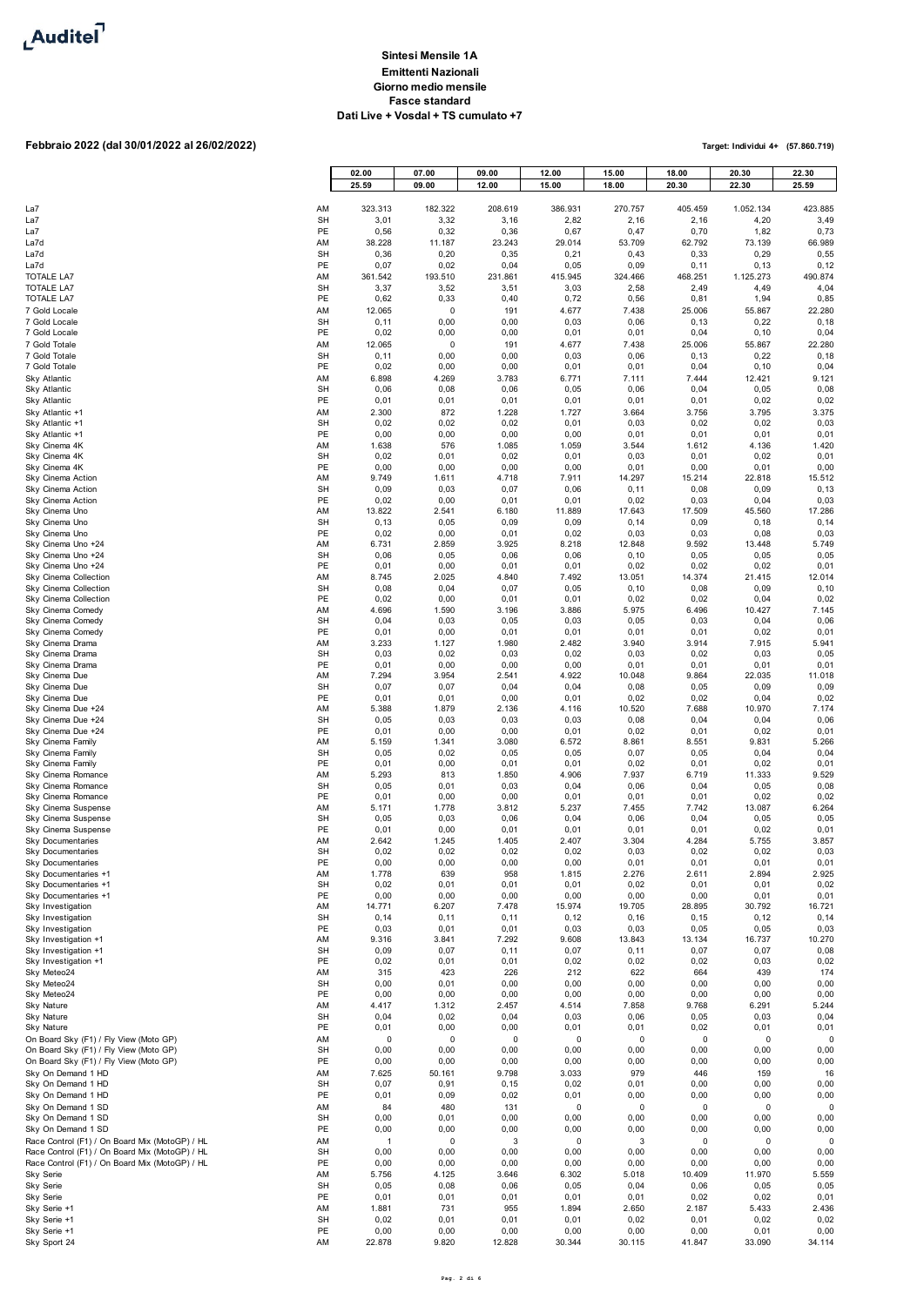

 $\mathbf{r}$ 

# **Febbraio 2022 (dal 30/01/2022 al 26/02/2022)**

|                                                                                                  |                 | 02.00<br>25.59    | 07.00<br>09.00    | 09.00<br>12.00 | 12.00<br>15.00 | 15.00<br>18.00      | 18.00<br>20.30    | 20.30<br>22.30      | 22.30<br>25.59      |
|--------------------------------------------------------------------------------------------------|-----------------|-------------------|-------------------|----------------|----------------|---------------------|-------------------|---------------------|---------------------|
|                                                                                                  |                 |                   |                   |                |                |                     |                   |                     |                     |
| La7                                                                                              | AM              | 323.313           | 182.322           | 208.619        | 386.931        | 270.757             | 405.459           | 1.052.134           | 423.885             |
| La7                                                                                              | <b>SH</b>       | 3,01              | 3,32              | 3,16           | 2,82           | 2,16                | 2,16              | 4,20                | 3,49                |
| La7                                                                                              | PE              | 0,56              | 0,32              | 0,36           | 0,67           | 0,47                | 0,70              | 1,82                | 0,73                |
| La7d<br>La7d                                                                                     | AM<br>SH        | 38.228<br>0,36    | 11.187<br>0,20    | 23.243<br>0,35 | 29.014<br>0,21 | 53.709<br>0,43      | 62.792<br>0,33    | 73.139<br>0,29      | 66.989<br>0,55      |
| La7d                                                                                             | PE              | 0,07              | 0,02              | 0,04           | 0,05           | 0,09                | 0, 11             | 0, 13               | 0, 12               |
| <b>TOTALE LA7</b>                                                                                | AM              | 361.542           | 193.510           | 231.861        | 415.945        | 324.466             | 468.251           | 1.125.273           | 490.874             |
| <b>TOTALE LA7</b>                                                                                | <b>SH</b>       | 3,37              | 3,52              | 3,51           | 3,03           | 2,58                | 2,49              | 4,49                | 4,04                |
| <b>TOTALE LA7</b>                                                                                | PE<br>AM        | 0,62<br>12.065    | 0,33<br>$\pmb{0}$ | 0,40<br>191    | 0,72<br>4.677  | 0,56<br>7.438       | 0,81<br>25.006    | 1,94                | 0,85<br>22.280      |
| 7 Gold Locale<br>7 Gold Locale                                                                   | <b>SH</b>       | 0, 11             | 0,00              | 0,00           | 0,03           | 0,06                | 0, 13             | 55.867<br>0,22      | 0, 18               |
| 7 Gold Locale                                                                                    | PE              | 0,02              | 0,00              | 0,00           | 0,01           | 0,01                | 0,04              | 0, 10               | 0,04                |
| 7 Gold Totale                                                                                    | AM              | 12.065            | 0                 | 191            | 4.677          | 7.438               | 25.006            | 55.867              | 22.280              |
| 7 Gold Totale                                                                                    | <b>SH</b>       | 0, 11             | 0,00              | 0,00           | 0,03           | 0,06                | 0, 13             | 0,22                | 0, 18               |
| 7 Gold Totale<br><b>Sky Atlantic</b>                                                             | PE<br>AM        | 0,02<br>6.898     | 0,00<br>4.269     | 0,00<br>3.783  | 0,01<br>6.771  | 0,01<br>7.111       | 0,04<br>7.444     | 0, 10<br>12.421     | 0,04<br>9.121       |
| <b>Sky Atlantic</b>                                                                              | <b>SH</b>       | 0,06              | 0,08              | 0,06           | 0,05           | 0,06                | 0,04              | 0,05                | 0,08                |
| Sky Atlantic                                                                                     | PE              | 0,01              | 0,01              | 0,01           | 0,01           | 0,01                | 0,01              | 0,02                | 0,02                |
| Sky Atlantic +1                                                                                  | AM              | 2.300             | 872               | 1.228          | 1.727          | 3.664               | 3.756             | 3.795               | 3.375               |
| Sky Atlantic +1                                                                                  | <b>SH</b><br>PE | 0,02<br>0,00      | 0,02<br>0,00      | 0,02<br>0,00   | 0,01<br>0,00   | 0,03<br>0,01        | 0,02<br>0,01      | 0,02<br>0,01        | 0,03<br>0,01        |
| Sky Atlantic +1<br>Sky Cinema 4K                                                                 | AM              | 1.638             | 576               | 1.085          | 1.059          | 3.544               | 1.612             | 4.136               | 1.420               |
| Sky Cinema 4K                                                                                    | <b>SH</b>       | 0,02              | 0,01              | 0,02           | 0,01           | 0,03                | 0,01              | 0,02                | 0,01                |
| Sky Cinema 4K                                                                                    | PE              | 0,00              | 0,00              | 0,00           | 0,00           | 0,01                | 0,00              | 0,01                | 0,00                |
| Sky Cinema Action                                                                                | AM              | 9.749             | 1.611             | 4.718          | 7.911          | 14.297              | 15.214            | 22.818              | 15.512              |
| Sky Cinema Action<br>Sky Cinema Action                                                           | <b>SH</b><br>PE | 0,09<br>0,02      | 0,03<br>0,00      | 0,07<br>0,01   | 0,06<br>0,01   | 0, 11<br>0,02       | 0,08<br>0,03      | 0,09<br>0,04        | 0, 13<br>0,03       |
| Sky Cinema Uno                                                                                   | AM              | 13.822            | 2.541             | 6.180          | 11.889         | 17.643              | 17.509            | 45.560              | 17.286              |
| Sky Cinema Uno                                                                                   | <b>SH</b>       | 0, 13             | 0,05              | 0,09           | 0,09           | 0, 14               | 0,09              | 0, 18               | 0, 14               |
| Sky Cinema Uno<br>Sky Cinema Uno +24                                                             | PE<br>AM        | 0,02<br>6.731     | 0,00<br>2.859     | 0,01<br>3.925  | 0,02           | 0,03<br>12.848      | 0,03<br>9.592     | 0,08                | 0,03<br>5.749       |
| Sky Cinema Uno +24                                                                               | <b>SH</b>       | 0,06              | 0,05              | 0,06           | 8.218<br>0,06  | 0, 10               | 0,05              | 13.448<br>0,05      | 0,05                |
| Sky Cinema Uno +24                                                                               | PE              | 0,01              | 0,00              | 0,01           | 0,01           | 0,02                | 0,02              | 0,02                | 0,01                |
| Sky Cinema Collection                                                                            | AM              | 8.745             | 2.025             | 4.840          | 7.492          | 13.051              | 14.374            | 21.415              | 12.014              |
| Sky Cinema Collection                                                                            | <b>SH</b><br>PE | 0,08<br>0,02      | 0,04<br>0,00      | 0,07           | 0,05           | 0, 10<br>0,02       | 0,08<br>0,02      | 0,09                | 0, 10<br>0,02       |
| Sky Cinema Collection<br>Sky Cinema Comedy                                                       | AM              | 4.696             | 1.590             | 0,01<br>3.196  | 0,01<br>3.886  | 5.975               | 6.496             | 0,04<br>10.427      | 7.145               |
| Sky Cinema Comedy                                                                                | <b>SH</b>       | 0,04              | 0,03              | 0,05           | 0,03           | 0,05                | 0,03              | 0,04                | 0,06                |
| Sky Cinema Comedy                                                                                | PE              | 0,01              | 0,00              | 0,01           | 0,01           | 0,01                | 0,01              | 0,02                | 0,01                |
| Sky Cinema Drama<br>Sky Cinema Drama                                                             | AM<br><b>SH</b> | 3.233<br>0,03     | 1.127<br>0,02     | 1.980<br>0,03  | 2.482<br>0,02  | 3.940<br>0,03       | 3.914<br>0,02     | 7.915<br>0,03       | 5.941<br>0,05       |
| Sky Cinema Drama                                                                                 | PE              | 0,01              | 0,00              | 0,00           | 0,00           | 0,01                | 0,01              | 0,01                | 0,01                |
| Sky Cinema Due                                                                                   | AM              | 7.294             | 3.954             | 2.541          | 4.922          | 10.048              | 9.864             | 22.035              | 11.018              |
| Sky Cinema Due                                                                                   | <b>SH</b>       | 0,07              | 0,07              | 0,04           | 0,04           | 0,08                | 0,05              | 0,09                | 0,09                |
| Sky Cinema Due                                                                                   | PE              | 0,01<br>5.388     | 0,01              | 0,00           | 0,01           | 0,02                | 0,02              | 0,04<br>10.970      | 0,02<br>7.174       |
| Sky Cinema Due +24<br>Sky Cinema Due +24                                                         | AM<br><b>SH</b> | 0,05              | 1.879<br>0,03     | 2.136<br>0,03  | 4.116<br>0,03  | 10.520<br>0,08      | 7.688<br>0,04     | 0,04                | 0,06                |
| Sky Cinema Due +24                                                                               | PE              | 0,01              | 0,00              | 0,00           | 0,01           | 0,02                | 0,01              | 0,02                | 0,01                |
| Sky Cinema Family                                                                                | AM              | 5.159             | 1.341             | 3.080          | 6.572          | 8.861               | 8.551             | 9.831               | 5.266               |
| Sky Cinema Family                                                                                | <b>SH</b><br>PE | 0,05              | 0,02              | 0,05           | 0,05           | 0,07                | 0,05              | 0,04                | 0,04                |
| Sky Cinema Family<br>Sky Cinema Romance                                                          | AM              | 0,01<br>5.293     | 0,00<br>813       | 0,01<br>1.850  | 0,01<br>4.906  | 0,02<br>7.937       | 0,01<br>6.719     | 0,02<br>11.333      | 0,01<br>9.529       |
| Sky Cinema Romance                                                                               | <b>SH</b>       | 0,05              | 0,01              | 0,03           | 0,04           | 0,06                | 0,04              | 0,05                | 0,08                |
| Sky Cinema Romance                                                                               | PE              | 0,01              | 0,00              | 0,00           | 0,01           | 0,01                | 0,01              | 0,02                | 0,02                |
| Sky Cinema Suspense                                                                              | AM<br><b>SH</b> | 5.171<br>0,05     | 1.778             | 3.812          | 5.237          | 7.455               | 7.742<br>0,04     | 13.087              | 6.264<br>0,05       |
| Sky Cinema Suspense<br>Sky Cinema Suspense                                                       | PE              | 0,01              | 0,03<br>0,00      | 0,06<br>0,01   | 0,04<br>0,01   | 0,06<br>0,01        | 0,01              | 0,05<br>0,02        | 0,01                |
| <b>Sky Documentaries</b>                                                                         | AM              | 2.642             | 1.245             | 1.405          | 2.407          | 3.304               | 4.284             | 5.755               | 3.857               |
| <b>Sky Documentaries</b>                                                                         | <b>SH</b>       | 0,02              | 0,02              | 0,02           | 0,02           | 0,03                | 0,02              | 0,02                | 0,03                |
| <b>Sky Documentaries</b><br>Sky Documentaries +1                                                 | PE<br>AM        | 0,00<br>1.778     | 0,00<br>639       | 0,00<br>958    | 0,00<br>1.815  | 0,01<br>2.276       | 0,01<br>2.611     | 0,01<br>2.894       | 0,01<br>2.925       |
| Sky Documentaries +1                                                                             | <b>SH</b>       | 0,02              | 0,01              | 0,01           | 0,01           | 0,02                | 0,01              | 0,01                | 0,02                |
| Sky Documentaries +1                                                                             | PE              | 0,00              | 0,00              | 0,00           | 0,00           | 0,00                | 0,00              | 0,01                | 0,01                |
| Sky Investigation                                                                                | AM              | 14.771            | 6.207             | 7.478          | 15.974         | 19.705              | 28.895            | 30.792              | 16.721              |
| Sky Investigation<br>Sky Investigation                                                           | <b>SH</b><br>PE | 0, 14<br>0,03     | 0, 11<br>0,01     | 0,11<br>0,01   | 0, 12<br>0,03  | 0, 16<br>0,03       | 0, 15<br>0,05     | 0, 12<br>0,05       | 0, 14<br>0,03       |
| Sky Investigation +1                                                                             | AM              | 9.316             | 3.841             | 7.292          | 9.608          | 13.843              | 13.134            | 16.737              | 10.270              |
| Sky Investigation +1                                                                             | <b>SH</b>       | 0,09              | 0,07              | 0, 11          | 0,07           | 0, 11               | 0,07              | 0,07                | 0,08                |
| Sky Investigation +1                                                                             | PE              | 0,02              | 0,01              | 0,01           | 0,02           | 0,02                | 0,02              | 0,03                | 0,02                |
| Sky Meteo24<br>Sky Meteo24                                                                       | AM<br><b>SH</b> | 315<br>0,00       | 423<br>0,01       | 226<br>0,00    | 212<br>0,00    | 622<br>0,00         | 664<br>0,00       | 439<br>0,00         | 174<br>0,00         |
| Sky Meteo24                                                                                      | PE              | 0,00              | 0,00              | 0,00           | 0,00           | 0,00                | 0,00              | 0,00                | 0,00                |
| Sky Nature                                                                                       | AM              | 4.417             | 1.312             | 2.457          | 4.514          | 7.858               | 9.768             | 6.291               | 5.244               |
| Sky Nature                                                                                       | <b>SH</b>       | 0,04              | 0,02              | 0,04           | 0,03           | 0,06                | 0,05              | 0,03                | 0,04                |
| <b>Sky Nature</b>                                                                                | PE<br>AM        | 0,01<br>$\pmb{0}$ | 0,00<br>$\pmb{0}$ | 0,00<br>0      | 0,01<br>0      | 0,01<br>$\mathbf 0$ | 0,02<br>$\pmb{0}$ | 0,01<br>$\mathbf 0$ | 0,01<br>$\mathbf 0$ |
| On Board Sky (F1) / Fly View (Moto GP)<br>On Board Sky (F1) / Fly View (Moto GP)                 | <b>SH</b>       | 0,00              | 0,00              | 0,00           | 0,00           | 0,00                | 0,00              | 0,00                | 0,00                |
| On Board Sky (F1) / Fly View (Moto GP)                                                           | PE              | 0,00              | 0,00              | 0,00           | 0,00           | 0,00                | 0,00              | 0,00                | 0,00                |
| Sky On Demand 1 HD                                                                               | AM              | 7.625             | 50.161            | 9.798          | 3.033          | 979                 | 446               | 159                 | 16                  |
| Sky On Demand 1 HD                                                                               | <b>SH</b>       | 0,07              | 0,91              | 0, 15          | 0,02           | 0,01                | 0,00              | 0,00                | 0,00                |
| Sky On Demand 1 HD<br>Sky On Demand 1 SD                                                         | PE<br>AM        | 0,01<br>84        | 0,09<br>480       | 0,02<br>131    | 0,01<br>0      | 0,00<br>0           | 0,00<br>0         | 0,00<br>$\mathbf 0$ | 0,00<br>$^{\circ}$  |
| Sky On Demand 1 SD                                                                               | <b>SH</b>       | 0,00              | 0,01              | 0,00           | 0,00           | 0,00                | 0,00              | 0,00                | 0,00                |
| Sky On Demand 1 SD                                                                               | PE              | 0,00              | 0,00              | 0,00           | 0,00           | 0,00                | 0,00              | 0,00                | 0,00                |
| Race Control (F1) / On Board Mix (MotoGP) / HL                                                   | AM              | $\overline{1}$    | $\mathbf 0$       | 3              | 0              | 3                   | 0                 | $\mathbf 0$         | 0                   |
| Race Control (F1) / On Board Mix (MotoGP) / HL<br>Race Control (F1) / On Board Mix (MotoGP) / HL | <b>SH</b><br>PE | 0,00<br>0,00      | 0,00<br>0,00      | 0,00<br>0,00   | 0,00<br>0,00   | 0,00<br>0,00        | 0,00<br>0,00      | 0,00<br>0,00        | 0,00<br>0,00        |
| <b>Sky Serie</b>                                                                                 | AM              | 5.756             | 4.125             | 3.646          | 6.302          | 5.018               | 10.409            | 11.970              | 5.559               |
| Sky Serie                                                                                        | <b>SH</b>       | 0,05              | 0,08              | 0,06           | 0,05           | 0,04                | 0,06              | 0,05                | 0,05                |
| Sky Serie                                                                                        | PE              | 0,01              | 0,01              | 0,01           | 0,01           | 0,01                | 0,02              | 0,02                | 0,01                |
| Sky Serie +1                                                                                     | AM              | 1.881             | 731               | 955            | 1.894          | 2.650               | 2.187             | 5.433               | 2.436               |
| Sky Serie +1<br>Sky Serie +1                                                                     | <b>SH</b><br>PE | 0,02<br>0,00      | 0,01<br>0,00      | 0,01<br>0,00   | 0,01<br>0,00   | 0,02<br>0,00        | 0,01<br>0,00      | 0,02<br>0,01        | 0,02<br>0,00        |
| Sky Sport 24                                                                                     | AM              | 22.878            | 9.820             | 12.828         | 30.344         | 30.115              | 41.847            | 33.090              | 34.114              |
|                                                                                                  |                 |                   |                   |                |                |                     |                   |                     |                     |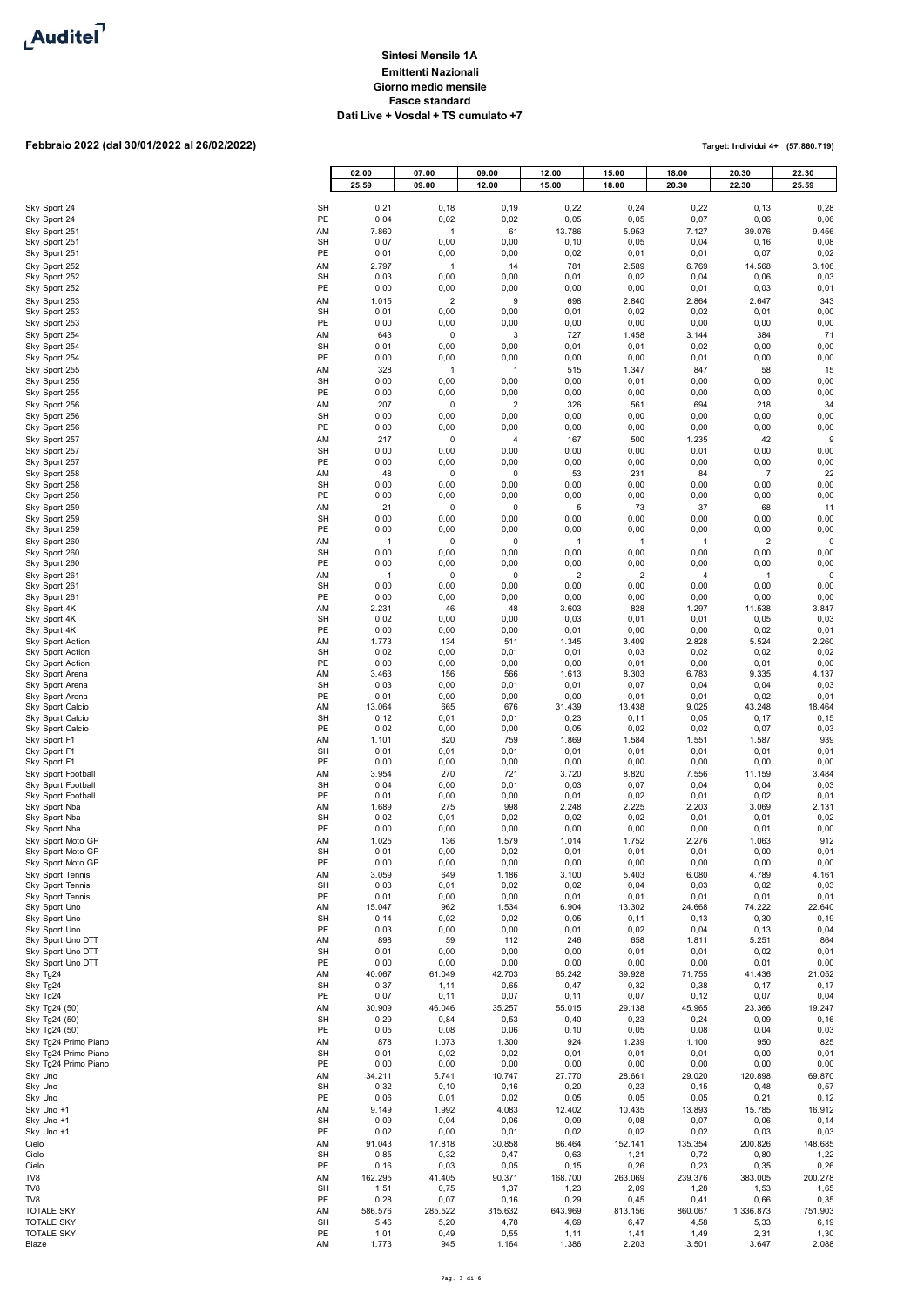

## **Febbraio 2022 (dal 30/01/2022 al 26/02/2022)**

|                                              |                 | 02.00                  | 07.00                  | 09.00                  | 12.00                  | 15.00                           | 18.00                  | 20.30             | 22.30           |
|----------------------------------------------|-----------------|------------------------|------------------------|------------------------|------------------------|---------------------------------|------------------------|-------------------|-----------------|
|                                              |                 | 25.59                  | 09.00                  | 12.00                  | 15.00                  | 18.00                           | 20.30                  | 22.30             | 25.59           |
| Sky Sport 24                                 | SH<br>PE        | 0,21                   | 0, 18                  | 0, 19                  | 0,22                   | 0,24                            | 0,22                   | 0, 13             | 0,28            |
| Sky Sport 24<br>Sky Sport 251                | AM              | 0,04<br>7.860          | 0,02<br>$\mathbf{1}$   | 0,02<br>61             | 0,05<br>13.786         | 0,05<br>5.953                   | 0,07<br>7.127          | 0,06<br>39.076    | 0,06<br>9.456   |
| Sky Sport 251                                | SH              | 0,07                   | 0,00                   | 0,00                   | 0, 10                  | 0,05                            | 0,04                   | 0, 16             | 0,08            |
| Sky Sport 251<br>Sky Sport 252               | PE<br>AM        | 0,01<br>2.797          | 0,00<br>$\mathbf{1}$   | 0,00<br>14             | 0,02<br>781            | 0,01<br>2.589                   | 0,01<br>6.769          | 0,07<br>14.568    | 0,02<br>3.106   |
| Sky Sport 252                                | SH              | 0,03                   | 0,00                   | 0,00                   | 0,01                   | 0,02                            | 0,04                   | 0,06              | 0,03            |
| Sky Sport 252                                | PE              | 0,00                   | 0,00                   | 0,00                   | 0,00                   | 0,00                            | 0,01                   | 0,03              | 0,01            |
| Sky Sport 253<br>Sky Sport 253               | AM<br>SH        | 1.015<br>0,01          | $\sqrt{2}$<br>0,00     | 9<br>0,00              | 698<br>0,01            | 2.840<br>0,02                   | 2.864<br>0,02          | 2.647<br>0,01     | 343<br>0,00     |
| Sky Sport 253                                | PE              | 0,00                   | 0,00                   | 0,00                   | 0,00                   | 0,00                            | 0,00                   | 0,00              | 0,00            |
| Sky Sport 254<br>Sky Sport 254               | AM<br><b>SH</b> | 643<br>0,01            | 0<br>0,00              | 3<br>0,00              | 727<br>0,01            | 1.458<br>0,01                   | 3.144<br>0,02          | 384<br>0,00       | 71<br>0,00      |
| Sky Sport 254                                | PE              | 0,00                   | 0,00                   | 0,00                   | 0,00                   | 0,00                            | 0,01                   | 0,00              | 0,00            |
| Sky Sport 255<br>Sky Sport 255               | AM<br><b>SH</b> | 328<br>0,00            | $\overline{1}$<br>0,00 | $\overline{1}$<br>0,00 | 515<br>0,00            | 1.347<br>0,01                   | 847<br>0,00            | 58<br>0,00        | 15<br>0,00      |
| Sky Sport 255                                | PE              | 0,00                   | 0,00                   | 0,00                   | 0,00                   | 0,00                            | 0,00                   | 0,00              | 0,00            |
| Sky Sport 256                                | AM              | 207                    | 0                      | $\overline{2}$         | 326                    | 561                             | 694                    | 218               | 34              |
| Sky Sport 256<br>Sky Sport 256               | <b>SH</b><br>PE | 0,00<br>0,00           | 0,00<br>0,00           | 0,00<br>0,00           | 0,00<br>0,00           | 0,00<br>0,00                    | 0,00<br>0,00           | 0,00<br>0,00      | 0,00<br>0,00    |
| Sky Sport 257                                | AM              | 217                    | 0                      | $\overline{4}$         | 167                    | 500                             | 1.235                  | 42                | 9               |
| Sky Sport 257<br>Sky Sport 257               | <b>SH</b><br>PE | 0,00<br>0,00           | 0,00<br>0,00           | 0,00<br>0,00           | 0,00<br>0,00           | 0,00<br>0,00                    | 0,01<br>0,00           | 0,00<br>0,00      | 0,00<br>0,00    |
| Sky Sport 258                                | ΑM              | 48                     | 0                      | 0                      | 53                     | 231                             | 84                     | 7                 | 22              |
| Sky Sport 258<br>Sky Sport 258               | SH<br>PE        | 0,00<br>0,00           | 0,00<br>0,00           | 0,00<br>0,00           | 0,00<br>0,00           | 0,00<br>0,00                    | 0,00<br>0,00           | 0,00<br>0,00      | 0,00<br>0,00    |
| Sky Sport 259                                | AM              | 21                     | 0                      | 0                      | 5                      | 73                              | 37                     | 68                | 11              |
| Sky Sport 259                                | <b>SH</b>       | 0,00                   | 0,00                   | 0,00                   | 0,00                   | 0,00                            | 0,00                   | 0,00              | 0,00            |
| Sky Sport 259<br>Sky Sport 260               | PE<br>AM        | 0,00<br>$\overline{1}$ | 0,00<br>0              | 0,00<br>0              | 0,00<br>$\overline{1}$ | 0,00<br>$\mathbf{1}$            | 0,00<br>$\mathbf{1}$   | 0,00<br>2         | 0,00<br>0       |
| Sky Sport 260                                | SH              | 0,00                   | 0,00                   | 0,00                   | 0,00                   | 0,00                            | 0,00                   | 0,00              | 0,00            |
| Sky Sport 260<br>Sky Sport 261               | PE<br>AM        | 0,00<br>$\mathbf{1}$   | 0,00<br>0              | 0,00<br>0              | 0,00<br>$\sqrt{2}$     | 0,00<br>$\overline{\mathbf{c}}$ | 0,00<br>$\overline{4}$ | 0,00<br>1         | 0,00<br>0       |
| Sky Sport 261                                | SH              | 0,00                   | 0,00                   | 0,00                   | 0,00                   | 0,00                            | 0,00                   | 0,00              | 0,00            |
| Sky Sport 261<br>Sky Sport 4K                | PE<br>ΑM        | 0,00<br>2.231          | 0,00<br>46             | 0,00<br>48             | 0,00<br>3.603          | 0,00<br>828                     | 0,00<br>1.297          | 0,00<br>11.538    | 0,00<br>3.847   |
| Sky Sport 4K                                 | SH              | 0,02                   | 0,00                   | 0,00                   | 0,03                   | 0,01                            | 0,01                   | 0,05              | 0,03            |
| Sky Sport 4K<br>Sky Sport Action             | PE<br>ΑM        | 0,00<br>1.773          | 0,00<br>134            | 0,00<br>511            | 0,01<br>1.345          | 0,00<br>3.409                   | 0,00<br>2.828          | 0,02<br>5.524     | 0,01<br>2.260   |
| Sky Sport Action                             | SH              | 0,02                   | 0,00                   | 0,01                   | 0,01                   | 0,03                            | 0,02                   | 0,02              | 0,02            |
| Sky Sport Action<br>Sky Sport Arena          | PE<br>AM        | 0,00<br>3.463          | 0,00<br>156            | 0,00<br>566            | 0,00<br>1.613          | 0,01<br>8.303                   | 0,00<br>6.783          | 0,01<br>9.335     | 0,00<br>4.137   |
| Sky Sport Arena                              | SH              | 0,03                   | 0,00                   | 0,01                   | 0,01                   | 0,07                            | 0,04                   | 0,04              | 0,03            |
| Sky Sport Arena<br>Sky Sport Calcio          | PE<br>AM        | 0,01<br>13.064         | 0,00<br>665            | 0,00<br>676            | 0,00<br>31.439         | 0,01<br>13.438                  | 0,01<br>9.025          | 0,02<br>43.248    | 0,01<br>18.464  |
| Sky Sport Calcio                             | SH              | 0,12                   | 0,01                   | 0,01                   | 0,23                   | 0, 11                           | 0,05                   | 0,17              | 0, 15           |
| Sky Sport Calcio<br>Sky Sport F1             | PE<br>AM        | 0,02<br>1.101          | 0,00<br>820            | 0,00<br>759            | 0,05<br>1.869          | 0,02<br>1.584                   | 0,02<br>1.551          | 0,07<br>1.587     | 0,03<br>939     |
| Sky Sport F1                                 | <b>SH</b>       | 0,01                   | 0,01                   | 0,01                   | 0,01                   | 0,01                            | 0,01                   | 0,01              | 0,01            |
| Sky Sport F1                                 | PE              | 0,00                   | 0,00                   | 0,00                   | 0,00                   | 0,00                            | 0,00                   | 0,00              | 0,00            |
| Sky Sport Football<br>Sky Sport Football     | ΑM<br>SH        | 3.954<br>0,04          | 270<br>0,00            | 721<br>0,01            | 3.720<br>0,03          | 8.820<br>0,07                   | 7.556<br>0,04          | 11.159<br>0,04    | 3.484<br>0,03   |
| Sky Sport Football                           | PE              | 0,01                   | 0,00                   | 0,00                   | 0,01                   | 0,02                            | 0,01                   | 0,02              | 0,01            |
| Sky Sport Nba<br>Sky Sport Nba               | AM<br>SH        | 1.689<br>0,02          | 275<br>0,01            | 998<br>0,02            | 2.248<br>0,02          | 2.225<br>0,02                   | 2.203<br>0,01          | 3.069<br>0,01     | 2.131<br>0,02   |
| Sky Sport Nba                                | PE              | 0,00                   | 0,00                   | 0,00                   | 0,00                   | 0,00                            | 0,00                   | 0,01              | 0,00            |
| Sky Sport Moto GP<br>Sky Sport Moto GP       | AM<br><b>SH</b> | 1.025<br>0,01          | 136<br>0,00            | 1.579<br>0,02          | 1.014<br>0,01          | 1.752<br>0,01                   | 2.276<br>0,01          | 1.063<br>0,00     | 912<br>0,01     |
| Sky Sport Moto GP                            | PE              | 0,00                   | 0,00                   | 0,00                   | 0,00                   | 0,00                            | 0,00                   | 0,00              | 0,00            |
| Sky Sport Tennis<br>Sky Sport Tennis         | AM<br>SH        | 3.059<br>0,03          | 649<br>0,01            | 1.186<br>0,02          | 3.100<br>0,02          | 5.403<br>0,04                   | 6.080<br>0,03          | 4.789<br>0,02     | 4.161<br>0,03   |
| Sky Sport Tennis                             | PE              | 0,01                   | 0,00                   | 0,00                   | 0,01                   | 0,01                            | 0,01                   | 0,01              | 0,01            |
| Sky Sport Uno<br>Sky Sport Uno               | AM<br><b>SH</b> | 15.047<br>0, 14        | 962<br>0,02            | 1.534<br>0,02          | 6.904<br>0,05          | 13.302<br>0,11                  | 24.668<br>0, 13        | 74.222<br>0, 30   | 22.640<br>0, 19 |
| Sky Sport Uno                                | PE              | 0,03                   | 0,00                   | 0,00                   | 0,01                   | 0,02                            | 0,04                   | 0, 13             | 0,04            |
| Sky Sport Uno DTT<br>Sky Sport Uno DTT       | AM<br>SH        | 898<br>0,01            | 59<br>0,00             | 112<br>0,00            | 246<br>0,00            | 658<br>0,01                     | 1.811<br>0,01          | 5.251<br>0,02     | 864<br>0,01     |
| Sky Sport Uno DTT                            | PE              | 0,00                   | 0,00                   | 0,00                   | 0,00                   | 0,00                            | 0,00                   | 0,01              | 0,00            |
| Sky Tg24<br>Sky Tg24                         | AM<br>SH        | 40.067<br>0,37         | 61.049<br>1,11         | 42.703<br>0,65         | 65.242<br>0,47         | 39.928<br>0,32                  | 71.755<br>0,38         | 41.436<br>0,17    | 21.052<br>0,17  |
| Sky Tg24                                     | PE              | 0,07                   | 0, 11                  | 0,07                   | 0, 11                  | 0,07                            | 0, 12                  | 0,07              | 0,04            |
| Sky Tg24 (50)                                | AM              | 30.909                 | 46.046                 | 35.257                 | 55.015                 | 29.138                          | 45.965                 | 23.366            | 19.247          |
| Sky Tg24 (50)<br>Sky Tg24 (50)               | SH<br>PE        | 0,29<br>0,05           | 0,84<br>0,08           | 0,53<br>0,06           | 0,40<br>0, 10          | 0,23<br>0,05                    | 0,24<br>0,08           | 0,09<br>0,04      | 0, 16<br>0,03   |
| Sky Tg24 Primo Piano                         | AM              | 878                    | 1.073                  | 1.300                  | 924                    | 1.239                           | 1.100                  | 950               | 825             |
| Sky Tg24 Primo Piano<br>Sky Tg24 Primo Piano | SH<br>PE        | 0,01<br>0,00           | 0,02<br>0,00           | 0,02<br>0,00           | 0,01<br>0,00           | 0,01<br>0,00                    | 0,01<br>0,00           | 0,00<br>0,00      | 0,01<br>0,00    |
| Sky Uno                                      | AM              | 34.211                 | 5.741                  | 10.747                 | 27.770                 | 28.661                          | 29.020                 | 120.898           | 69.870          |
| Sky Uno<br>Sky Uno                           | SH<br>PE        | 0,32<br>0,06           | 0, 10<br>0,01          | 0, 16<br>0,02          | 0,20<br>0,05           | 0,23<br>0,05                    | 0, 15<br>0,05          | 0,48<br>0,21      | 0,57<br>0, 12   |
| Sky Uno +1                                   | AM              | 9.149                  | 1.992                  | 4.083                  | 12.402                 | 10.435                          | 13.893                 | 15.785            | 16.912          |
| Sky Uno +1<br>Sky Uno +1                     | <b>SH</b><br>PE | 0,09<br>0,02           | 0,04<br>0,00           | 0,06<br>0,01           | 0,09<br>0,02           | 0,08<br>0,02                    | 0,07<br>0,02           | 0,06<br>0,03      | 0, 14<br>0,03   |
| Cielo                                        | ΑM              | 91.043                 | 17.818                 | 30.858                 | 86.464                 | 152.141                         | 135.354                | 200.826           | 148.685         |
| Cielo                                        | SH              | 0,85                   | 0,32                   | 0,47                   | 0,63                   | 1,21                            | 0,72                   | 0,80              | 1,22            |
| Cielo<br>TV8                                 | PE<br>AM        | 0, 16<br>162.295       | 0,03<br>41.405         | 0,05<br>90.371         | 0, 15<br>168.700       | 0,26<br>263.069                 | 0,23<br>239.376        | 0,35<br>383.005   | 0,26<br>200.278 |
| TV8                                          | SH              | 1,51                   | 0,75                   | 1,37                   | 1,23                   | 2,09                            | 1,28                   | 1,53              | 1,65            |
| TV8<br>TOTALE SKY                            | PE<br>AM        | 0,28<br>586.576        | 0,07<br>285.522        | 0, 16<br>315.632       | 0,29<br>643.969        | 0,45<br>813.156                 | 0,41<br>860.067        | 0,66<br>1.336.873 | 0,35<br>751.903 |
| <b>TOTALE SKY</b>                            | SH              | 5,46                   | 5,20                   | 4,78                   | 4,69                   | 6,47                            | 4,58                   | 5,33              | 6,19            |
| TOTALE SKY<br>Blaze                          | PE<br>AM        | 1,01<br>1.773          | 0,49<br>945            | 0,55<br>1.164          | 1, 11<br>1.386         | 1,41<br>2.203                   | 1,49<br>3.501          | 2,31<br>3.647     | 1,30<br>2.088   |
|                                              |                 |                        |                        |                        |                        |                                 |                        |                   |                 |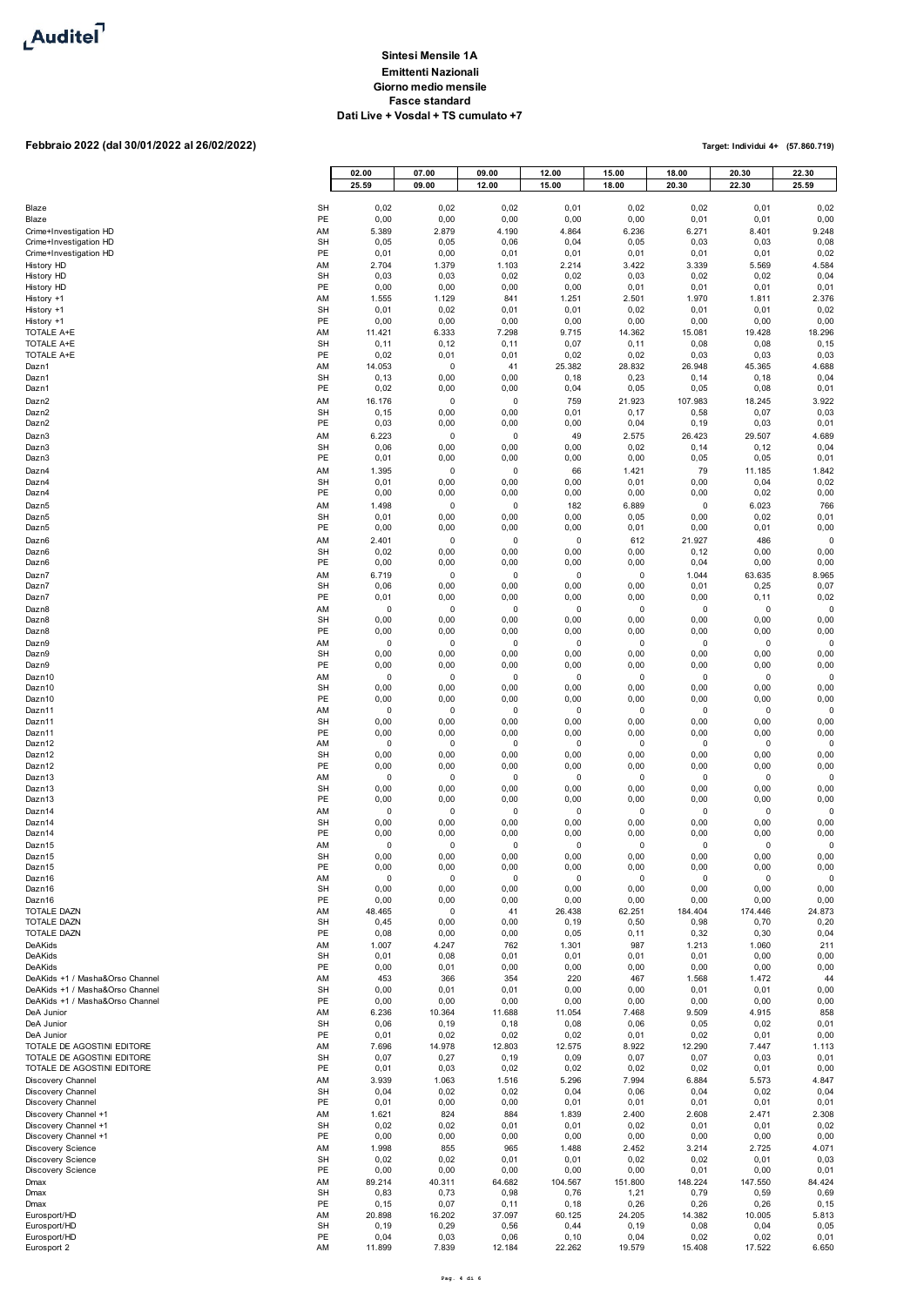

# **Febbraio 2022 (dal 30/01/2022 al 26/02/2022)**

|                                                                    |                 | 02.00<br>25.59    | 07.00<br>09.00    | 09.00<br>12.00      | 12.00<br>15.00    | 15.00<br>18.00      | 18.00<br>20.30  | 20.30<br>22.30    | 22.30<br>25.59   |
|--------------------------------------------------------------------|-----------------|-------------------|-------------------|---------------------|-------------------|---------------------|-----------------|-------------------|------------------|
|                                                                    |                 |                   |                   |                     |                   |                     |                 |                   |                  |
| Blaze<br>Blaze                                                     | <b>SH</b><br>PE | 0,02<br>0,00      | 0,02<br>0,00      | 0,02<br>0,00        | 0,01<br>0,00      | 0,02<br>0,00        | 0,02<br>0,01    | 0,01<br>0,01      | 0,02             |
| Crime+Investigation HD                                             | AM              | 5.389             | 2.879             | 4.190               | 4.864             | 6.236               | 6.271           | 8.401             | 0,00<br>9.248    |
| Crime+Investigation HD                                             | <b>SH</b>       | 0,05              | 0,05              | 0,06                | 0,04              | 0,05                | 0,03            | 0,03              | 0,08             |
| Crime+Investigation HD<br>History HD                               | PE<br>AM        | 0,01<br>2.704     | 0,00<br>1.379     | 0,01<br>1.103       | 0,01<br>2.214     | 0,01<br>3.422       | 0,01<br>3.339   | 0,01<br>5.569     | 0,02<br>4.584    |
| <b>History HD</b>                                                  | <b>SH</b>       | 0,03              | 0,03              | 0,02                | 0,02              | 0,03                | 0,02            | 0,02              | 0,04             |
| <b>History HD</b>                                                  | PE              | 0,00              | 0,00              | 0,00                | 0,00              | 0,01                | 0,01            | 0,01              | 0,01             |
| History +1<br>History +1                                           | AM<br><b>SH</b> | 1.555<br>0,01     | 1.129<br>0,02     | 841<br>0,01         | 1.251<br>0,01     | 2.501<br>0,02       | 1.970<br>0,01   | 1.811<br>0,01     | 2.376<br>0,02    |
| History +1                                                         | PE              | 0,00              | 0,00              | 0,00                | 0,00              | 0,00                | 0,00            | 0,00              | 0,00             |
| TOTALE A+E<br>TOTALE A+E                                           | AM<br><b>SH</b> | 11.421<br>0, 11   | 6.333<br>0, 12    | 7.298<br>0, 11      | 9.715<br>0,07     | 14.362<br>0, 11     | 15.081<br>0,08  | 19.428<br>0,08    | 18.296<br>0, 15  |
| TOTALE A+E                                                         | PE              | 0,02              | 0,01              | 0,01                | 0,02              | 0,02                | 0,03            | 0,03              | 0,03             |
| Dazn1                                                              | AM              | 14.053            | $\pmb{0}$         | 41                  | 25.382            | 28.832              | 26.948          | 45.365            | 4.688            |
| Dazn1<br>Dazn1                                                     | <b>SH</b><br>PE | 0, 13<br>0,02     | 0,00<br>0,00      | 0,00<br>0,00        | 0, 18<br>0,04     | 0,23<br>0,05        | 0, 14<br>0,05   | 0, 18<br>0,08     | 0,04<br>0,01     |
| Dazn2                                                              | AM              | 16.176            | $\pmb{0}$         | 0                   | 759               | 21.923              | 107.983         | 18.245            | 3.922            |
| Dazn2<br>Dazn <sub>2</sub>                                         | <b>SH</b><br>PE | 0, 15<br>0,03     | 0,00<br>0,00      | 0,00<br>0,00        | 0,01<br>0,00      | 0,17<br>0,04        | 0,58<br>0, 19   | 0,07<br>0,03      | 0,03<br>0,01     |
| Dazn3                                                              | AM              | 6.223             | $\pmb{0}$         | $\mathbf 0$         | 49                | 2.575               | 26.423          | 29.507            | 4.689            |
| Dazn3                                                              | <b>SH</b>       | 0,06              | 0,00              | 0,00                | 0,00              | 0,02                | 0, 14           | 0, 12             | 0,04             |
| Dazn3<br>Dazn4                                                     | PE<br>AM        | 0,01<br>1.395     | 0,00<br>0         | 0,00<br>0           | 0,00<br>66        | 0,00<br>1.421       | 0,05<br>79      | 0,05<br>11.185    | 0,01<br>1.842    |
| Dazn4                                                              | <b>SH</b>       | 0,01              | 0,00              | 0,00                | 0,00              | 0,01                | 0,00            | 0,04              | 0,02             |
| Dazn4                                                              | PE              | 0,00              | 0,00              | 0,00                | 0,00              | 0,00                | 0,00            | 0,02              | 0,00             |
| Dazn <sub>5</sub><br>Dazn5                                         | AM<br><b>SH</b> | 1.498<br>0,01     | 0<br>0,00         | 0<br>0,00           | 182<br>0,00       | 6.889<br>0,05       | 0<br>0,00       | 6.023<br>0,02     | 766<br>0,01      |
| Dazn <sub>5</sub>                                                  | PE              | 0,00              | 0,00              | 0,00                | 0,00              | 0,01                | 0,00            | 0,01              | 0,00             |
| Dazn6                                                              | AM              | 2.401             | 0                 | 0                   | $\pmb{0}$         | 612                 | 21.927          | 486               |                  |
| Dazn6<br>Dazn6                                                     | <b>SH</b><br>PE | 0,02<br>0,00      | 0,00<br>0,00      | 0,00<br>0,00        | 0,00<br>0,00      | 0,00<br>0,00        | 0, 12<br>0,04   | 0,00<br>0,00      | 0,00<br>0,00     |
| Dazn7                                                              | AM              | 6.719             | 0                 | 0                   | 0                 | 0                   | 1.044           | 63.635            | 8.965            |
| Dazn7<br>Dazn7                                                     | <b>SH</b><br>PE | 0,06<br>0,01      | 0,00<br>0,00      | 0,00<br>0,00        | 0,00<br>0,00      | 0,00<br>0,00        | 0,01<br>0,00    | 0,25<br>0, 11     | 0,07<br>0,02     |
| Dazn8                                                              | AM              | 0                 | 0                 | 0                   | 0                 | 0                   | 0               | 0                 | $\Omega$         |
| Dazn8                                                              | <b>SH</b>       | 0,00              | 0,00              | 0,00                | 0,00              | 0,00                | 0,00            | 0,00              | 0,00             |
| Dazn8<br>Dazn9                                                     | PE<br>AM        | 0,00<br>0         | 0,00<br>0         | 0,00<br>0           | 0,00<br>0         | 0,00<br>0           | 0,00<br>0       | 0,00<br>0         | 0,00<br>$\Omega$ |
| Dazn9                                                              | <b>SH</b>       | 0,00              | 0,00              | 0,00                | 0,00              | 0,00                | 0,00            | 0,00              | 0,00             |
| Dazn9<br>Dazn10                                                    | PE<br>AM        | 0,00<br>$\pmb{0}$ | 0,00<br>0         | 0,00<br>0           | 0,00<br>0         | 0,00<br>0           | 0,00<br>0       | 0,00<br>$\pmb{0}$ | 0,00<br>$\Omega$ |
| Dazn10                                                             | <b>SH</b>       | 0,00              | 0,00              | 0,00                | 0,00              | 0,00                | 0,00            | 0,00              | 0,00             |
| Dazn10                                                             | PE              | 0,00              | 0,00              | 0,00                | 0,00              | 0,00                | 0,00            | 0,00              | 0,00<br>$\Omega$ |
| Dazn11<br>Dazn11                                                   | AM<br><b>SH</b> | $\pmb{0}$<br>0,00 | $\pmb{0}$<br>0,00 | $\mathbf 0$<br>0,00 | $\pmb{0}$<br>0,00 | $\mathbf 0$<br>0,00 | 0<br>0,00       | $\pmb{0}$<br>0,00 | 0,00             |
| Dazn11                                                             | PE              | 0,00              | 0,00              | 0,00                | 0,00              | 0,00                | 0,00            | 0,00              | 0,00<br>$\Omega$ |
| Dazn12<br>Dazn12                                                   | AM<br><b>SH</b> | 0<br>0,00         | 0<br>0,00         | 0<br>0,00           | 0<br>0,00         | $\mathbf 0$<br>0,00 | 0<br>0,00       | $\pmb{0}$<br>0,00 | 0,00             |
| Dazn12                                                             | PE              | 0,00              | 0,00              | 0,00                | 0,00              | 0,00                | 0,00            | 0,00              | 0,00             |
| Dazn13<br>Dazn13                                                   | AM<br><b>SH</b> | 0<br>0,00         | 0<br>0,00         | 0<br>0,00           | 0<br>0,00         | 0<br>0,00           | 0<br>0,00       | 0<br>0,00         | $\Omega$<br>0,00 |
| Dazn13                                                             | PE              | 0,00              | 0,00              | 0,00                | 0,00              | 0,00                | 0,00            | 0,00              | 0,00             |
| Dazn14<br>Dazn14                                                   | AM<br><b>SH</b> | 0<br>0,00         | 0<br>0,00         | 0<br>0,00           | 0<br>0,00         | 0<br>0,00           | 0<br>0,00       | $\pmb{0}$<br>0,00 | $\Omega$<br>0,00 |
| Dazn14                                                             | PE              | 0,00              | 0,00              | 0,00                | 0,00              | 0,00                | 0,00            | 0,00              | 0,00             |
| Dazn15<br>Dazn15                                                   | AM<br><b>SH</b> | 0<br>0,00         | 0<br>0,00         | 0<br>0,00           | 0<br>0,00         | $\mathbf 0$<br>0,00 | 0<br>0,00       | 0<br>0,00         | 0,00             |
| Dazn15                                                             | PE              | 0,00              | 0,00              | 0,00                | 0,00              | 0,00                | 0,00            | 0,00              | 0,00             |
| Dazn16<br>Dazn16                                                   | AM<br><b>SH</b> | 0<br>0,00         | $\pmb{0}$<br>0,00 | $\mathbf 0$<br>0,00 | 0<br>0,00         | $\mathbf 0$<br>0,00 | 0<br>0,00       | $\pmb{0}$<br>0,00 | $\Omega$<br>0,00 |
| Dazn16                                                             | PE              | 0,00              | 0,00              | 0,00                | 0,00              | 0,00                | 0,00            | 0,00              | 0,00             |
| TOTALE DAZN<br>TOTALE DAZN                                         | AM<br><b>SH</b> | 48.465<br>0,45    | 0<br>0,00         | 41<br>0,00          | 26.438<br>0, 19   | 62.251<br>0,50      | 184.404<br>0,98 | 174.446<br>0,70   | 24.873<br>0,20   |
| TOTALE DAZN                                                        | PE              | 0,08              | 0,00              | 0,00                | 0,05              | 0, 11               | 0,32            | 0,30              | 0,04             |
| DeAKids                                                            | AM              | 1.007             | 4.247             | 762                 | 1.301             | 987                 | 1.213           | 1.060             | 211              |
| DeAKids<br>DeAKids                                                 | <b>SH</b><br>PE | 0,01<br>0,00      | 0,08<br>0,01      | 0,01<br>0,00        | 0,01<br>0,00      | 0,01<br>0,00        | 0,01<br>0,00    | 0,00<br>0,00      | 0,00<br>0,00     |
| DeAKids +1 / Masha&Orso Channel                                    | AM              | 453               | 366               | 354                 | 220               | 467                 | 1.568           | 1.472             | 44               |
| DeAKids +1 / Masha&Orso Channel<br>DeAKids +1 / Masha&Orso Channel | <b>SH</b><br>PE | 0,00<br>0,00      | 0,01<br>0,00      | 0,01<br>0,00        | 0,00<br>0,00      | 0,00<br>0,00        | 0,01<br>0,00    | 0,01<br>0,00      | 0,00<br>0,00     |
| DeA Junior                                                         | AM              | 6.236             | 10.364            | 11.688              | 11.054            | 7.468               | 9.509           | 4.915             | 858              |
| DeA Junior<br>DeA Junior                                           | <b>SH</b><br>PE | 0,06<br>0,01      | 0, 19<br>0,02     | 0, 18<br>0,02       | 0,08<br>0,02      | 0,06<br>0,01        | 0,05<br>0,02    | 0,02<br>0,01      | 0,01<br>0,00     |
| TOTALE DE AGOSTINI EDITORE                                         | AM              | 7.696             | 14.978            | 12.803              | 12.575            | 8.922               | 12.290          | 7.447             | 1.113            |
| TOTALE DE AGOSTINI EDITORE                                         | <b>SH</b>       | 0,07              | 0,27              | 0, 19               | 0,09              | 0,07                | 0,07            | 0,03              | 0,01             |
| TOTALE DE AGOSTINI EDITORE<br>Discovery Channel                    | PE<br>AM        | 0,01<br>3.939     | 0,03<br>1.063     | 0,02<br>1.516       | 0,02<br>5.296     | 0,02<br>7.994       | 0,02<br>6.884   | 0,01<br>5.573     | 0,00<br>4.847    |
| Discovery Channel                                                  | <b>SH</b>       | 0,04              | 0,02              | 0,02                | 0,04              | 0,06                | 0,04            | 0,02              | 0,04             |
| Discovery Channel<br>Discovery Channel +1                          | PE<br>AM        | 0,01<br>1.621     | 0,00<br>824       | 0,00<br>884         | 0,01<br>1.839     | 0,01<br>2.400       | 0,01<br>2.608   | 0,01<br>2.471     | 0,01<br>2.308    |
| Discovery Channel +1                                               | <b>SH</b>       | 0,02              | 0,02              | 0,01                | 0,01              | 0,02                | 0,01            | 0,01              | 0,02             |
| Discovery Channel +1                                               | PE              | 0,00              | 0,00              | 0,00                | 0,00              | 0,00                | 0,00            | 0,00              | 0,00             |
| <b>Discovery Science</b><br><b>Discovery Science</b>               | AM<br><b>SH</b> | 1.998<br>0,02     | 855<br>0,02       | 965<br>0,01         | 1.488<br>0,01     | 2.452<br>0,02       | 3.214<br>0,02   | 2.725<br>0,01     | 4.071<br>0,03    |
| Discovery Science                                                  | PE              | 0,00              | 0,00              | 0,00                | 0,00              | 0,00                | 0,01            | 0,00              | 0,01             |
| Dmax<br>Dmax                                                       | AM<br><b>SH</b> | 89.214<br>0,83    | 40.311<br>0,73    | 64.682<br>0,98      | 104.567<br>0,76   | 151.800<br>1,21     | 148.224<br>0,79 | 147.550<br>0,59   | 84.424<br>0,69   |
| Dmax                                                               | PE              | 0, 15             | 0,07              | 0, 11               | 0, 18             | 0,26                | 0,26            | 0,26              | 0, 15            |
| Eurosport/HD<br>Eurosport/HD                                       | AM<br><b>SH</b> | 20.898<br>0, 19   | 16.202<br>0,29    | 37.097<br>0,56      | 60.125<br>0,44    | 24.205<br>0, 19     | 14.382<br>0,08  | 10.005<br>0,04    | 5.813<br>0,05    |
| Eurosport/HD                                                       | PE              | 0,04              | 0,03              | 0,06                | 0, 10             | 0,04                | 0,02            | 0,02              | 0,01             |
| Eurosport 2                                                        | AM              | 11.899            | 7.839             | 12.184              | 22.262            | 19.579              | 15.408          | 17.522            | 6.650            |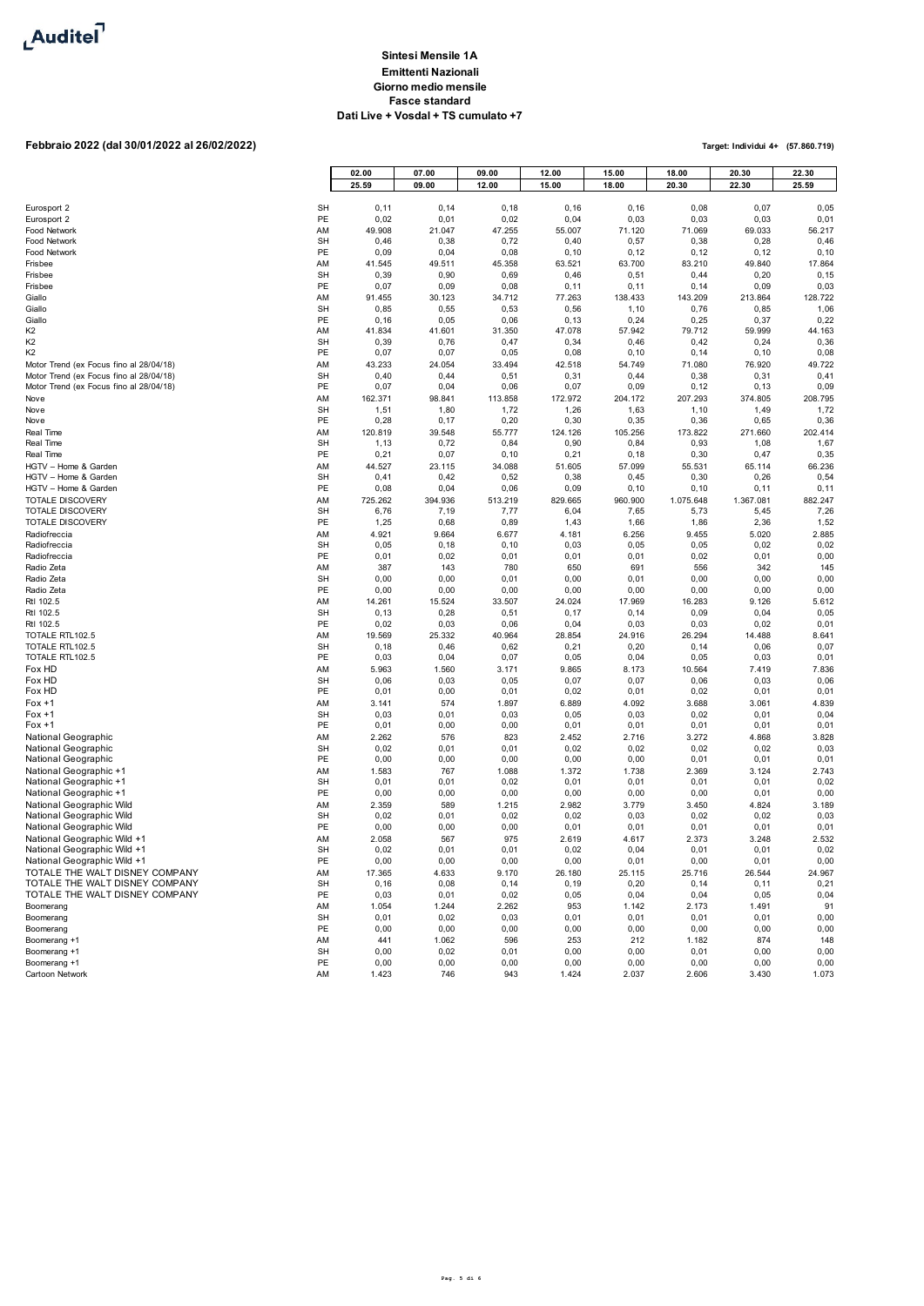

# **Febbraio 2022 (dal 30/01/2022 al 26/02/2022)**

|                                                                                    |                 | 02.00           | 07.00           | 09.00          | 12.00            | 15.00           | 18.00           | 20.30           | 22.30           |
|------------------------------------------------------------------------------------|-----------------|-----------------|-----------------|----------------|------------------|-----------------|-----------------|-----------------|-----------------|
|                                                                                    |                 | 25.59           | 09.00           | 12.00          | 15.00            | 18.00           | 20.30           | 22.30           | 25.59           |
| Eurosport 2                                                                        | <b>SH</b>       | 0, 11           | 0, 14           | 0, 18          | 0, 16            | 0, 16           | 0,08            | 0,07            | 0,05            |
| Eurosport 2                                                                        | PE              | 0,02            | 0,01            | 0,02           | 0,04             | 0,03            | 0,03            | 0,03            | 0,01            |
| Food Network<br>Food Network                                                       | AM<br><b>SH</b> | 49.908<br>0,46  | 21.047<br>0,38  | 47.255<br>0,72 | 55.007<br>0,40   | 71.120<br>0,57  | 71.069<br>0,38  | 69.033<br>0,28  | 56.217<br>0,46  |
| Food Network                                                                       | PE              | 0,09            | 0,04            | 0,08           | 0, 10            | 0, 12           | 0, 12           | 0, 12           | 0, 10           |
| Frisbee                                                                            | AM              | 41.545          | 49.511          | 45.358         | 63.521           | 63.700          | 83.210          | 49.840          | 17.864          |
| Frisbee<br>Frisbee                                                                 | <b>SH</b><br>PE | 0,39<br>0,07    | 0,90<br>0,09    | 0,69<br>0,08   | 0,46<br>0, 11    | 0,51<br>0, 11   | 0,44<br>0, 14   | 0,20<br>0,09    | 0, 15<br>0,03   |
| Giallo                                                                             | AM              | 91.455          | 30.123          | 34.712         | 77.263           | 138.433         | 143.209         | 213.864         | 128.722         |
| Giallo                                                                             | <b>SH</b>       | 0,85            | 0,55            | 0,53           | 0,56             | 1,10            | 0,76            | 0,85            | 1,06            |
| Giallo                                                                             | PE<br>AM        | 0, 16<br>41.834 | 0,05<br>41.601  | 0,06           | 0, 13            | 0,24            | 0,25            | 0,37            | 0,22            |
| K <sub>2</sub><br>K <sub>2</sub>                                                   | <b>SH</b>       | 0,39            | 0,76            | 31.350<br>0,47 | 47.078<br>0,34   | 57.942<br>0,46  | 79.712<br>0,42  | 59.999<br>0,24  | 44.163<br>0,36  |
| K <sub>2</sub>                                                                     | PE              | 0,07            | 0,07            | 0,05           | 0,08             | 0, 10           | 0, 14           | 0, 10           | 0,08            |
| Motor Trend (ex Focus fino al 28/04/18)                                            | AM              | 43.233          | 24.054          | 33.494         | 42.518           | 54.749          | 71.080          | 76.920          | 49.722          |
| Motor Trend (ex Focus fino al 28/04/18)<br>Motor Trend (ex Focus fino al 28/04/18) | <b>SH</b><br>PE | 0,40<br>0,07    | 0,44<br>0,04    | 0,51<br>0,06   | 0,31<br>0,07     | 0,44<br>0,09    | 0,38<br>0, 12   | 0,31<br>0, 13   | 0,41<br>0,09    |
| Nove                                                                               | AM              | 162.371         | 98.841          | 113.858        | 172.972          | 204.172         | 207.293         | 374.805         | 208.795         |
| Nove                                                                               | <b>SH</b>       | 1,51            | 1,80            | 1,72           | 1,26             | 1,63            | 1, 10           | 1,49            | 1,72            |
| Nove<br>Real Time                                                                  | PE<br>AM        | 0,28<br>120.819 | 0, 17<br>39.548 | 0,20<br>55.777 | 0, 30<br>124.126 | 0,35<br>105.256 | 0,36<br>173.822 | 0,65<br>271.660 | 0,36<br>202.414 |
| Real Time                                                                          | <b>SH</b>       | 1, 13           | 0,72            | 0,84           | 0,90             | 0,84            | 0,93            | 1,08            | 1,67            |
| Real Time                                                                          | PE              | 0,21            | 0,07            | 0, 10          | 0,21             | 0, 18           | 0,30            | 0,47            | 0,35            |
| HGTV - Home & Garden<br>HGTV - Home & Garden                                       | AM              | 44.527          | 23.115          | 34.088         | 51.605           | 57.099          | 55.531          | 65.114          | 66.236          |
| HGTV - Home & Garden                                                               | <b>SH</b><br>PE | 0,41<br>0,08    | 0,42<br>0,04    | 0,52<br>0,06   | 0,38<br>0,09     | 0,45<br>0, 10   | 0,30<br>0, 10   | 0,26<br>0, 11   | 0,54<br>0,11    |
| <b>TOTALE DISCOVERY</b>                                                            | AM              | 725.262         | 394.936         | 513.219        | 829.665          | 960.900         | 1.075.648       | 1.367.081       | 882.247         |
| <b>TOTALE DISCOVERY</b>                                                            | <b>SH</b>       | 6,76            | 7,19            | 7,77           | 6,04             | 7,65            | 5,73            | 5,45            | 7,26            |
| TOTALE DISCOVERY<br>Radiofreccia                                                   | PE<br>AM        | 1,25<br>4.921   | 0,68<br>9.664   | 0,89<br>6.677  | 1,43<br>4.181    | 1,66<br>6.256   | 1,86<br>9.455   | 2,36<br>5.020   | 1,52<br>2.885   |
| Radiofreccia                                                                       | <b>SH</b>       | 0,05            | 0, 18           | 0, 10          | 0,03             | 0,05            | 0,05            | 0,02            | 0,02            |
| Radiofreccia                                                                       | PE              | 0,01            | 0,02            | 0,01           | 0,01             | 0,01            | 0,02            | 0,01            | 0,00            |
| Radio Zeta                                                                         | AM              | 387             | 143             | 780            | 650              | 691             | 556             | 342             | 145             |
| Radio Zeta<br>Radio Zeta                                                           | <b>SH</b><br>PE | 0,00<br>0,00    | 0,00<br>0,00    | 0,01<br>0,00   | 0,00<br>0,00     | 0,01<br>0,00    | 0,00<br>0,00    | 0,00<br>0,00    | 0,00<br>0,00    |
| Rtl 102.5                                                                          | AM              | 14.261          | 15.524          | 33.507         | 24.024           | 17.969          | 16.283          | 9.126           | 5.612           |
| Rtl 102.5                                                                          | <b>SH</b>       | 0, 13           | 0,28            | 0,51           | 0, 17            | 0, 14           | 0,09            | 0,04            | 0,05            |
| Rtl 102.5                                                                          | PE<br>AM        | 0,02<br>19.569  | 0,03<br>25.332  | 0,06           | 0,04             | 0,03            | 0,03            | 0,02            | 0,01<br>8.641   |
| TOTALE RTL102.5<br>TOTALE RTL102.5                                                 | <b>SH</b>       | 0, 18           | 0,46            | 40.964<br>0,62 | 28.854<br>0,21   | 24.916<br>0,20  | 26.294<br>0, 14 | 14.488<br>0,06  | 0,07            |
| TOTALE RTL102.5                                                                    | PE              | 0,03            | 0,04            | 0,07           | 0,05             | 0,04            | 0,05            | 0,03            | 0,01            |
| Fox HD                                                                             | AM              | 5.963           | 1.560           | 3.171          | 9.865            | 8.173           | 10.564          | 7.419           | 7.836           |
| Fox HD<br>Fox HD                                                                   | <b>SH</b><br>PE | 0,06<br>0,01    | 0,03<br>0,00    | 0,05<br>0,01   | 0,07<br>0,02     | 0,07<br>0,01    | 0,06<br>0,02    | 0,03<br>0,01    | 0,06<br>0,01    |
| $For +1$                                                                           | AM              | 3.141           | 574             | 1.897          | 6.889            | 4.092           | 3.688           | 3.061           | 4.839           |
| $For +1$                                                                           | <b>SH</b>       | 0,03            | 0,01            | 0,03           | 0,05             | 0,03            | 0,02            | 0,01            | 0,04            |
| $For +1$                                                                           | PE              | 0,01<br>2.262   | 0,00<br>576     | 0,00           | 0,01             | 0,01            | 0,01            | 0,01            | 0,01            |
| National Geographic<br>National Geographic                                         | AM<br><b>SH</b> | 0,02            | 0,01            | 823<br>0,01    | 2.452<br>0,02    | 2.716<br>0,02   | 3.272<br>0,02   | 4.868<br>0,02   | 3.828<br>0,03   |
| National Geographic                                                                | PE              | 0,00            | 0,00            | 0,00           | 0,00             | 0,00            | 0,01            | 0,01            | 0,01            |
| National Geographic +1                                                             | AM              | 1.583           | 767             | 1.088          | 1.372            | 1.738           | 2.369           | 3.124           | 2.743           |
| National Geographic +1<br>National Geographic +1                                   | <b>SH</b><br>PE | 0,01<br>0,00    | 0,01<br>0,00    | 0,02<br>0,00   | 0,01<br>0,00     | 0,01<br>0,00    | 0,01<br>0,00    | 0,01<br>0,01    | 0,02<br>0,00    |
| National Geographic Wild                                                           | AM              | 2.359           | 589             | 1.215          | 2.982            | 3.779           | 3.450           | 4.824           | 3.189           |
| National Geographic Wild                                                           | <b>SH</b>       | 0,02            | 0,01            | 0,02           | 0,02             | 0,03            | 0,02            | 0,02            | 0,03            |
| National Geographic Wild<br>National Geographic Wild +1                            | PE              | 0,00            | 0,00            | 0,00           | 0,01             | 0,01            | 0,01            | 0,01            | 0,01            |
| National Geographic Wild +1                                                        | AM<br><b>SH</b> | 2.058<br>0,02   | 567<br>0,01     | 975<br>0,01    | 2.619<br>0,02    | 4.617<br>0,04   | 2.373<br>0,01   | 3.248<br>0,01   | 2.532<br>0,02   |
| National Geographic Wild +1                                                        | PE              | 0,00            | 0,00            | 0,00           | 0,00             | 0,01            | 0,00            | 0,01            | 0,00            |
| TOTALE THE WALT DISNEY COMPANY                                                     | AM              | 17.365          | 4.633           | 9.170          | 26.180           | 25.115          | 25.716          | 26.544          | 24.967          |
| TOTALE THE WALT DISNEY COMPANY<br>TOTALE THE WALT DISNEY COMPANY                   | <b>SH</b><br>PE | 0, 16<br>0,03   | 0,08<br>0,01    | 0, 14<br>0,02  | 0, 19<br>0,05    | 0,20<br>0,04    | 0, 14<br>0,04   | 0, 11<br>0,05   | 0,21<br>0,04    |
| Boomerang                                                                          | AM              | 1.054           | 1.244           | 2.262          | 953              | 1.142           | 2.173           | 1.491           | 91              |
| Boomerang                                                                          | <b>SH</b>       | 0,01            | 0,02            | 0,03           | 0,01             | 0,01            | 0,01            | 0,01            | 0,00            |
| Boomerang                                                                          | PE              | 0,00            | 0,00            | 0,00           | 0,00             | 0,00            | 0,00            | 0,00            | 0,00            |
| Boomerang +1<br>Boomerang +1                                                       | AM<br><b>SH</b> | 441<br>0,00     | 1.062<br>0,02   | 596<br>0,01    | 253<br>0,00      | 212<br>0,00     | 1.182<br>0,01   | 874<br>0,00     | 148<br>0,00     |
| Boomerang +1                                                                       | PE              | 0,00            | 0,00            | 0,00           | 0,00             | 0,00            | 0,00            | 0,00            | 0,00            |
| Cartoon Network                                                                    | AM              | 1.423           | 746             | 943            | 1.424            | 2.037           | 2.606           | 3.430           | 1.073           |